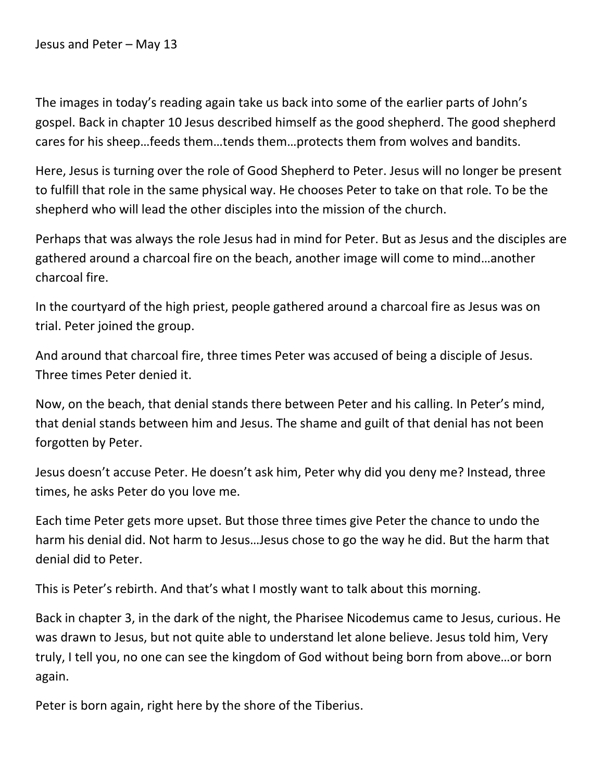Jesus and Peter – May 13

The images in today's reading again take us back into some of the earlier parts of John's gospel. Back in chapter 10 Jesus described himself as the good shepherd. The good shepherd cares for his sheep…feeds them…tends them…protects them from wolves and bandits.

Here, Jesus is turning over the role of Good Shepherd to Peter. Jesus will no longer be present to fulfill that role in the same physical way. He chooses Peter to take on that role. To be the shepherd who will lead the other disciples into the mission of the church.

Perhaps that was always the role Jesus had in mind for Peter. But as Jesus and the disciples are gathered around a charcoal fire on the beach, another image will come to mind…another charcoal fire.

In the courtyard of the high priest, people gathered around a charcoal fire as Jesus was on trial. Peter joined the group.

And around that charcoal fire, three times Peter was accused of being a disciple of Jesus. Three times Peter denied it.

Now, on the beach, that denial stands there between Peter and his calling. In Peter's mind, that denial stands between him and Jesus. The shame and guilt of that denial has not been forgotten by Peter.

Jesus doesn't accuse Peter. He doesn't ask him, Peter why did you deny me? Instead, three times, he asks Peter do you love me.

Each time Peter gets more upset. But those three times give Peter the chance to undo the harm his denial did. Not harm to Jesus…Jesus chose to go the way he did. But the harm that denial did to Peter.

This is Peter's rebirth. And that's what I mostly want to talk about this morning.

Back in chapter 3, in the dark of the night, the Pharisee Nicodemus came to Jesus, curious. He was drawn to Jesus, but not quite able to understand let alone believe. Jesus told him, Very truly, I tell you, no one can see the kingdom of God without being born from above…or born again.

Peter is born again, right here by the shore of the Tiberius.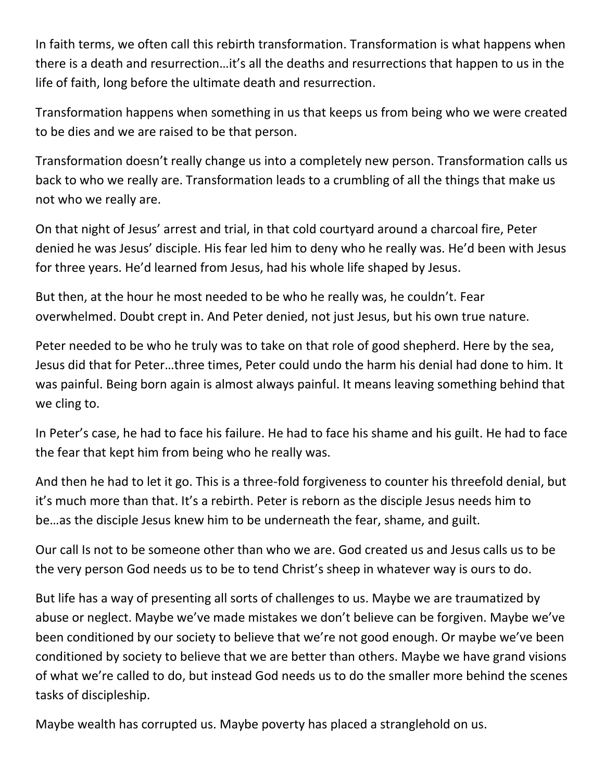In faith terms, we often call this rebirth transformation. Transformation is what happens when there is a death and resurrection…it's all the deaths and resurrections that happen to us in the life of faith, long before the ultimate death and resurrection.

Transformation happens when something in us that keeps us from being who we were created to be dies and we are raised to be that person.

Transformation doesn't really change us into a completely new person. Transformation calls us back to who we really are. Transformation leads to a crumbling of all the things that make us not who we really are.

On that night of Jesus' arrest and trial, in that cold courtyard around a charcoal fire, Peter denied he was Jesus' disciple. His fear led him to deny who he really was. He'd been with Jesus for three years. He'd learned from Jesus, had his whole life shaped by Jesus.

But then, at the hour he most needed to be who he really was, he couldn't. Fear overwhelmed. Doubt crept in. And Peter denied, not just Jesus, but his own true nature.

Peter needed to be who he truly was to take on that role of good shepherd. Here by the sea, Jesus did that for Peter…three times, Peter could undo the harm his denial had done to him. It was painful. Being born again is almost always painful. It means leaving something behind that we cling to.

In Peter's case, he had to face his failure. He had to face his shame and his guilt. He had to face the fear that kept him from being who he really was.

And then he had to let it go. This is a three-fold forgiveness to counter his threefold denial, but it's much more than that. It's a rebirth. Peter is reborn as the disciple Jesus needs him to be…as the disciple Jesus knew him to be underneath the fear, shame, and guilt.

Our call Is not to be someone other than who we are. God created us and Jesus calls us to be the very person God needs us to be to tend Christ's sheep in whatever way is ours to do.

But life has a way of presenting all sorts of challenges to us. Maybe we are traumatized by abuse or neglect. Maybe we've made mistakes we don't believe can be forgiven. Maybe we've been conditioned by our society to believe that we're not good enough. Or maybe we've been conditioned by society to believe that we are better than others. Maybe we have grand visions of what we're called to do, but instead God needs us to do the smaller more behind the scenes tasks of discipleship.

Maybe wealth has corrupted us. Maybe poverty has placed a stranglehold on us.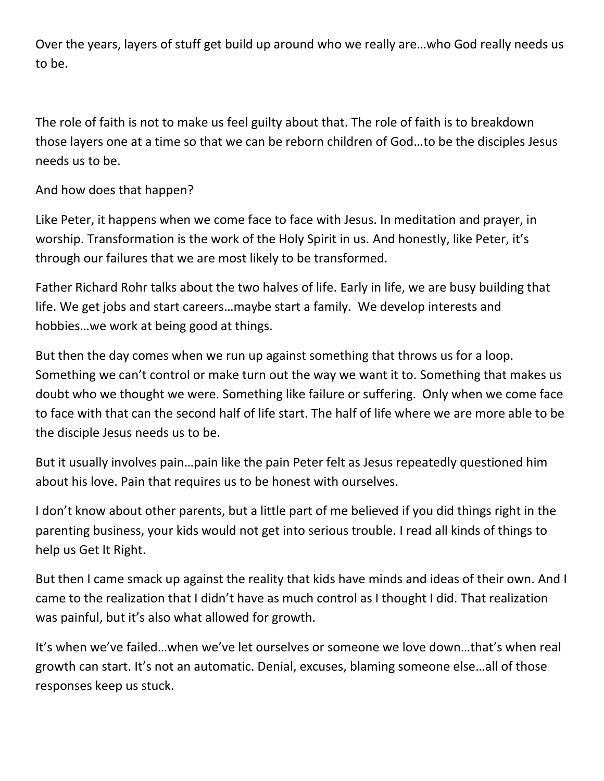Over the years, layers of stuff get build up around who we really are…who God really needs us to be.

The role of faith is not to make us feel guilty about that. The role of faith is to breakdown those layers one at a time so that we can be reborn children of God…to be the disciples Jesus needs us to be.

And how does that happen?

Like Peter, it happens when we come face to face with Jesus. In meditation and prayer, in worship. Transformation is the work of the Holy Spirit in us. And honestly, like Peter, it's through our failures that we are most likely to be transformed.

Father Richard Rohr talks about the two halves of life. Early in life, we are busy building that life. We get jobs and start careers…maybe start a family. We develop interests and hobbies…we work at being good at things.

But then the day comes when we run up against something that throws us for a loop. Something we can't control or make turn out the way we want it to. Something that makes us doubt who we thought we were. Something like failure or suffering. Only when we come face to face with that can the second half of life start. The half of life where we are more able to be the disciple Jesus needs us to be.

But it usually involves pain…pain like the pain Peter felt as Jesus repeatedly questioned him about his love. Pain that requires us to be honest with ourselves.

I don't know about other parents, but a little part of me believed if you did things right in the parenting business, your kids would not get into serious trouble. I read all kinds of things to help us Get It Right.

But then I came smack up against the reality that kids have minds and ideas of their own. And I came to the realization that I didn't have as much control as I thought I did. That realization was painful, but it's also what allowed for growth.

It's when we've failed…when we've let ourselves or someone we love down…that's when real growth can start. It's not an automatic. Denial, excuses, blaming someone else…all of those responses keep us stuck.